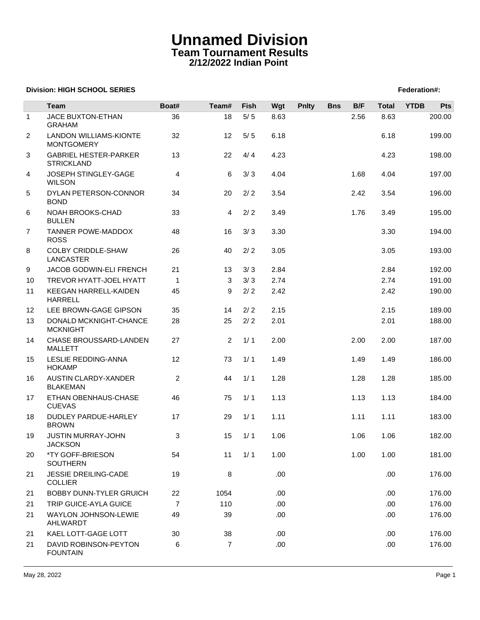## **Unnamed Division Team Tournament Results 2/12/2022 Indian Point**

## **Division: HIGH SCHOOL SERIES** Federation And The SCHOOL SERIES Federation And The SCHOOL SERIES Federation And The SCHOOL SERIES FEDERATION AND THE SCHOOL SERIES FEDERATION AND THE SCHOOL SERIES FEDERATION AND THE SCHOOL

|              | <b>Team</b>                                        | Boat#          | Team#          | Fish  | Wgt  | <b>Pnlty</b> | <b>Bns</b> | B/F  | <b>Total</b> | <b>YTDB</b> | Pts    |
|--------------|----------------------------------------------------|----------------|----------------|-------|------|--------------|------------|------|--------------|-------------|--------|
| $\mathbf{1}$ | JACE BUXTON-ETHAN<br><b>GRAHAM</b>                 | 36             | 18             | 5/5   | 8.63 |              |            | 2.56 | 8.63         |             | 200.00 |
| 2            | <b>LANDON WILLIAMS-KIONTE</b><br><b>MONTGOMERY</b> | 32             | 12             | 5/5   | 6.18 |              |            |      | 6.18         |             | 199.00 |
| 3            | <b>GABRIEL HESTER-PARKER</b><br><b>STRICKLAND</b>  | 13             | 22             | 4/4   | 4.23 |              |            |      | 4.23         |             | 198.00 |
| 4            | JOSEPH STINGLEY-GAGE<br><b>WILSON</b>              | 4              | 6              | 3/3   | 4.04 |              |            | 1.68 | 4.04         |             | 197.00 |
| 5            | DYLAN PETERSON-CONNOR<br><b>BOND</b>               | 34             | 20             | 2/2   | 3.54 |              |            | 2.42 | 3.54         |             | 196.00 |
| 6            | NOAH BROOKS-CHAD<br><b>BULLEN</b>                  | 33             | 4              | $2/2$ | 3.49 |              |            | 1.76 | 3.49         |             | 195.00 |
| 7            | <b>TANNER POWE-MADDOX</b><br><b>ROSS</b>           | 48             | 16             | 3/3   | 3.30 |              |            |      | 3.30         |             | 194.00 |
| 8            | <b>COLBY CRIDDLE-SHAW</b><br><b>LANCASTER</b>      | 26             | 40             | 2/2   | 3.05 |              |            |      | 3.05         |             | 193.00 |
| 9            | JACOB GODWIN-ELI FRENCH                            | 21             | 13             | 3/3   | 2.84 |              |            |      | 2.84         |             | 192.00 |
| 10           | TREVOR HYATT-JOEL HYATT                            | $\mathbf{1}$   | 3              | 3/3   | 2.74 |              |            |      | 2.74         |             | 191.00 |
| 11           | KEEGAN HARRELL-KAIDEN<br><b>HARRELL</b>            | 45             | 9              | 2/2   | 2.42 |              |            |      | 2.42         |             | 190.00 |
| 12           | LEE BROWN-GAGE GIPSON                              | 35             | 14             | 2/2   | 2.15 |              |            |      | 2.15         |             | 189.00 |
| 13           | DONALD MCKNIGHT-CHANCE<br><b>MCKNIGHT</b>          | 28             | 25             | 2/2   | 2.01 |              |            |      | 2.01         |             | 188.00 |
| 14           | CHASE BROUSSARD-LANDEN<br><b>MALLETT</b>           | 27             | $\overline{2}$ | 1/1   | 2.00 |              |            | 2.00 | 2.00         |             | 187.00 |
| 15           | LESLIE REDDING-ANNA<br><b>HOKAMP</b>               | 12             | 73             | 1/1   | 1.49 |              |            | 1.49 | 1.49         |             | 186.00 |
| 16           | AUSTIN CLARDY-XANDER<br><b>BLAKEMAN</b>            | $\overline{2}$ | 44             | 1/1   | 1.28 |              |            | 1.28 | 1.28         |             | 185.00 |
| 17           | ETHAN OBENHAUS-CHASE<br><b>CUEVAS</b>              | 46             | 75             | 1/1   | 1.13 |              |            | 1.13 | 1.13         |             | 184.00 |
| 18           | DUDLEY PARDUE-HARLEY<br><b>BROWN</b>               | 17             | 29             | 1/1   | 1.11 |              |            | 1.11 | 1.11         |             | 183.00 |
| 19           | JUSTIN MURRAY-JOHN<br><b>JACKSON</b>               | 3              | 15             | 1/1   | 1.06 |              |            | 1.06 | 1.06         |             | 182.00 |
| 20           | *TY GOFF-BRIESON<br>SOUTHERN                       | 54             | 11             | 1/1   | 1.00 |              |            | 1.00 | 1.00         |             | 181.00 |
| 21           | <b>JESSIE DREILING-CADE</b><br><b>COLLIER</b>      | 19             | 8              |       | .00. |              |            |      | .00.         |             | 176.00 |
| 21           | <b>BOBBY DUNN-TYLER GRUICH</b>                     | 22             | 1054           |       | .00. |              |            |      | .00.         |             | 176.00 |
| 21           | TRIP GUICE-AYLA GUICE                              | $\overline{7}$ | 110            |       | .00  |              |            |      | .00.         |             | 176.00 |
| 21           | WAYLON JOHNSON-LEWIE<br>AHLWARDT                   | 49             | 39             |       | .00. |              |            |      | .00.         |             | 176.00 |
| 21           | KAEL LOTT-GAGE LOTT                                | 30             | 38             |       | .00  |              |            |      | .00.         |             | 176.00 |
| 21           | DAVID ROBINSON-PEYTON<br><b>FOUNTAIN</b>           | 6              | $\overline{7}$ |       | .00  |              |            |      | .00.         |             | 176.00 |